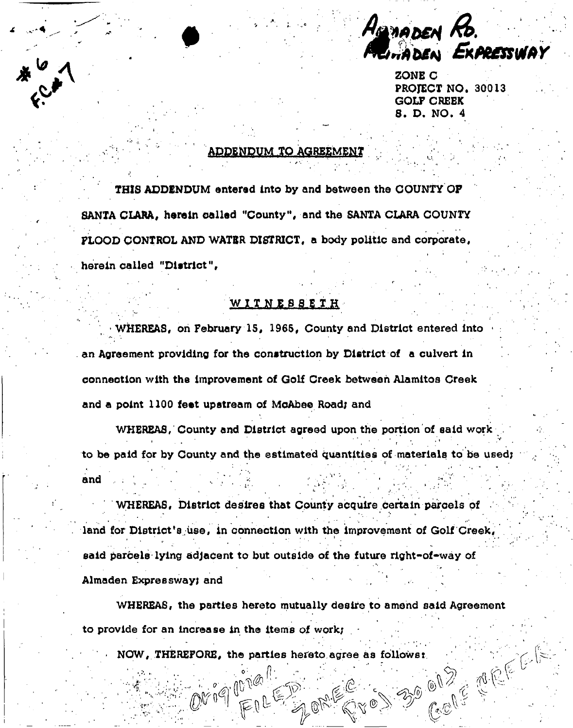HEMADEN CIMADEN EXPRESSWAY

 $\sum_{i=1}^{n}$ PROJECT NO. 30013 GOLF CREEK 8. D. NO. 4

## ADDENDUM TO AGREEMENT

THIS ADDENDUM entered Into by and between the COUNTY OF SANTA CLARA, herein called "County", end the SANTA CLARA COUNTY PLOOD CONTROL AND WATBR DISTRICT, a body politic and corporate, herein called "District",

•  $\epsilon$  , and the set of  $\epsilon$  , and the set of  $\epsilon$  , and the set of  $\epsilon$  , and the set of  $\epsilon$  , and the set of  $\epsilon$ 

## WITNESSETH

• WHEREAS, on February 15, 1965, County and District entered into an Agreement providing for the construction by District of a culvert in connection with the Improvement of Golf Creek between Alamitos Creek and a point 1100 feet upstream of McAbee Road; and

WHEREAS, County and District agreed upon the portion of said work **r ' ' : }\***  to be paid for by County and the estimated quantities of materials to be used;  $\frac{1}{\sqrt{2}}$  to be paid for by County and the estimated  $\frac{1}{\sqrt{2}}$  , which is to be used; to be used; to be used; to be used; to be used; to be used; to be used; to be used; to be used; to be used; to be used; to be use

WHEREAS District desires that County acquire certain na land for District's use, in connection with the improvement of Golf Creek, said parcels lying adjacent to but outside of the future right-of-way of , , • .... . > \* '. Almaden Expressway; and said parcels lying adjacent to but outside of the future right-of-way of the future right-of-way of-way of-way of-way of-way of-way of-way of-way of-way of-way of-way of-way of-way of-way of-way of-way of-way of-way of-wa

Almaden Expressway; and WHEREAS, the parties hereto mutually desire to amend said Agreement WHEREAS, the parties hereto mutually desire to amend said Agreement

 $\mathbb{C}^n$  is a  $\mathbb{C}^n$  of  $\mathbb{C}^n$  , the parties  $\mathbb{C}^n$  and  $\mathbb{C}^n$ 

 $\mathbf{r}_i$  , and items of an increase in the increase in the increase in the increase in the increase in the increase in 3.50 (e) 2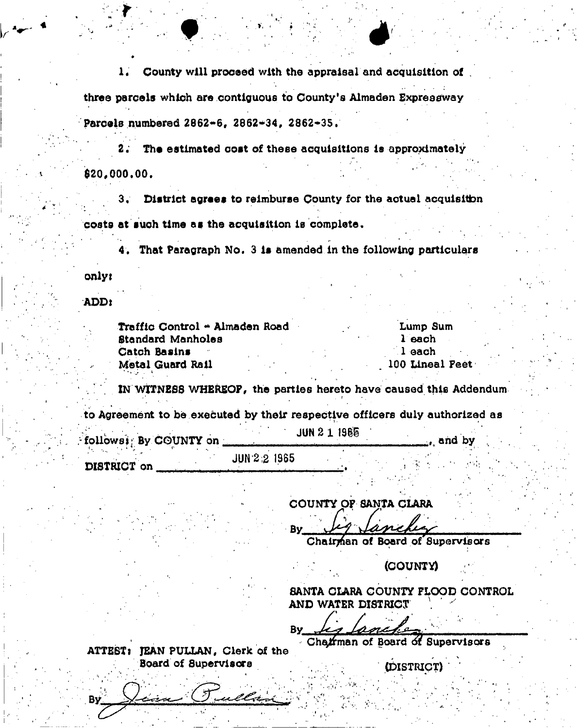1, County will proceed with the appraisal and acquisition of . three parcels which are contiguous to County's Almaden Expressway Parcels numbered 2862-6, 2862-34, 2862-35.

2; The estimated cost of these acquisitions Is approximately **\$20,000.00.** 

3; District agrees to reimburse County for the actual acquisition costs at such time as the acquisition Is complete.

4, That Paragraph No. 3 Is amended In the following particulars

onlyi

ADD i

By

| Traffic Control - Almaden Road |  | Lump Sum        |
|--------------------------------|--|-----------------|
| Standard Manholes              |  | $l$ each        |
| Catch Basins                   |  | l each          |
| Metal Guard Rail               |  | 100 Lineal Peet |

IN WITNESS WHEREOF, the parties hereto have caused this Addendum

to Agreement to be executed by their respective officers duly authorized as

| followsi: By COUNTY on | JUN 2 1 1966 | and by |  |  |
|------------------------|--------------|--------|--|--|
|                        | JUN 2.2 1965 |        |  |  |
| DISTRICT on            |              |        |  |  |

COUNTY OP SANTA CLARA

Bv

Chairman of Board of Supervisors

(COUNTY)

SANTA CLARA COUNTY FLOOD CONTROL AND WATER DISTRICT \

**Bv** 

Chairman of Board of Supervisors

ATTEST: JEAN PULLAN, Clerk of the Board of Supervisors (iblSTRICT)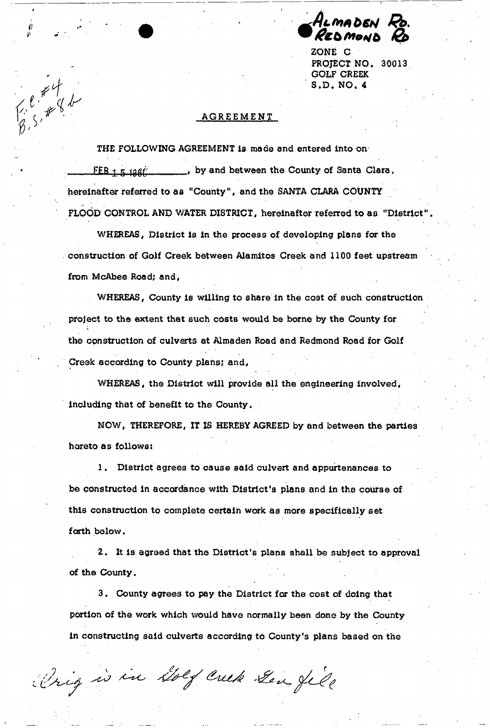ALMADEI ED MOND

ZONE C PROJECT NO. 30013 GOLF CREEK S.D. NO. 4

## AGREEMENT

 $\begin{array}{c}\n\epsilon \neq 4 \\
\epsilon \neq 3\n\end{array}$ 

THE FOLLOWING AGREEMENT **Is made and entered into On**   $FEB + 5.198t'$ , by and between the County of Santa Clara, hereinafter referred to aa "County", and the SANTA CLARA COUNTY FLOOD CONTROL AND WATER DISTRICT, hereinafter referred to as "District

WHEREAS, District is in the process of developing plans for the construction of Golf Creek between Alamitos Creek and 1100 feet upstream from McAbee Road; and,

WHEREAS, County is willing to share in the cost of such construction project to the extent that such costs would be borne by the County for the construction of culverts at Almaden Road and Redmond Road for Golf Creek according to County plans; and,

WHEREAS, the District will provide all the engineering involved, including that of benefit to the County.

NOW, THEREFORE, IT IS HEREBY AGREED by and between the parties hereto as follows:

1, District agrees to cause said culvert and appurtenances to be constructed in accordance with District's plans and in the course of this construction to complete certain work as more specifically set forth below.

2, It is agreed that the District's plans shall be subject to approval of the County.

3, County agrees to pay the District for the cost of doing that portion of the work which would have normally been done by the County in constructing said culverts according to County's plans based on the

Orig is in Dolf Creek Gen file